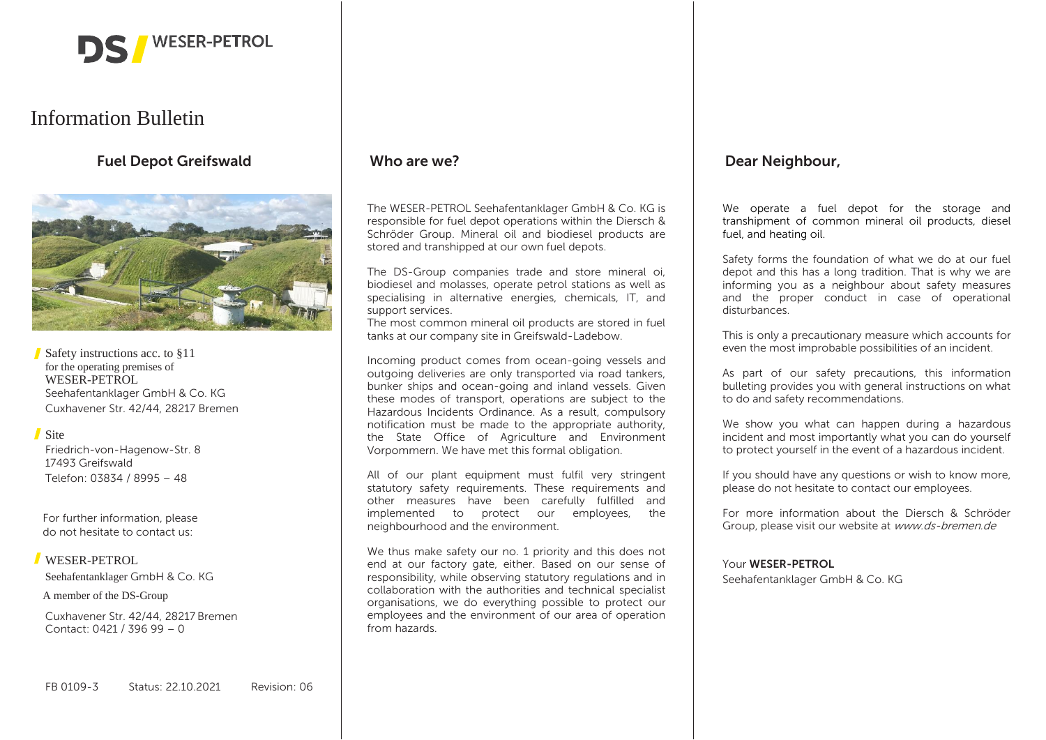

# Information Bulletin

# **Fuel Depot Greifswald**



Safety instructions acc. to §11 for the operating premises of WESER-PETROL Seehafentanklager GmbH & Co. KG Cuxhavener Str. 42/44, 28217 Bremen

#### Site

Friedrich-von-Hagenow-Str. 8 17493 Greifswald Telefon: 03834 / 8995 – 48

For further information, please do not hesitate to contact us:

#### WESER-PETROL

Seehafentanklager GmbH & Co. KG

A member of the DS-Group

Cuxhavener Str. 42/44, 28217 Bremen Contact: 0421 / 396 99 – 0

### **Who are we?**

The WESER-PETROL Seehafentanklager GmbH & Co. KG is responsible for fuel depot operations within the Diersch & Schröder Group. Mineral oil and biodiesel products are stored and transhipped at our own fuel depots.

The DS-Group companies trade and store mineral oi, biodiesel and molasses, operate petrol stations as well as specialising in alternative energies, chemicals, IT, and support services.

The most common mineral oil products are stored in fuel tanks at our company site in Greifswald-Ladebow.

Incoming product comes from ocean-going vessels and outgoing deliveries are only transported via road tankers, bunker ships and ocean-going and inland vessels. Given these modes of transport, operations are subject to the Hazardous Incidents Ordinance. As a result, compulsory notification must be made to the appropriate authority, the State Office of Agriculture and Environment Vorpommern. We have met this formal obligation.

All of our plant equipment must fulfil very stringent statutory safety requirements. These requirements and other measures have been carefully fulfilled and implemented to protect our employees, the neighbourhood and the environment.

We thus make safety our no. 1 priority and this does not end at our factory gate, either. Based on our sense of responsibility, while observing statutory regulations and in collaboration with the authorities and technical specialist organisations, we do everything possible to protect our employees and the environment of our area of operation from hazards.

### **Dear Neighbour,**

We operate a fuel depot for the storage and transhipment of common mineral oil products, diesel fuel, and heating oil.

Safety forms the foundation of what we do at our fuel depot and this has a long tradition. That is why we are informing you as a neighbour about safety measures and the proper conduct in case of operational disturbances.

This is only a precautionary measure which accounts for even the most improbable possibilities of an incident.

As part of our safety precautions, this information bulleting provides you with general instructions on what to do and safety recommendations.

We show you what can happen during a hazardous incident and most importantly what you can do yourself to protect yourself in the event of a hazardous incident.

If you should have any questions or wish to know more, please do not hesitate to contact our employees.

For more information about the Diersch & Schröder Group, please visit our website at www.ds-bremen.de

#### Your **WESER-PETROL**

Seehafentanklager GmbH & Co. KG